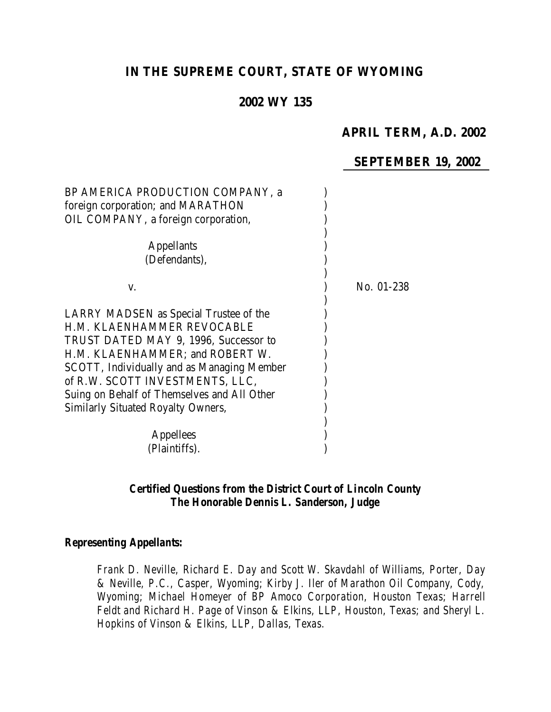# **IN THE SUPREME COURT, STATE OF WYOMING**

## **2002 WY 135**

## **APRIL TERM, A.D. 2002**

## **SEPTEMBER 19, 2002**

| BP AMERICA PRODUCTION COMPANY, a            |            |
|---------------------------------------------|------------|
| foreign corporation; and MARATHON           |            |
| OIL COMPANY, a foreign corporation,         |            |
|                                             |            |
| <b>Appellants</b>                           |            |
| (Defendants),                               |            |
|                                             |            |
| V.                                          | No. 01-238 |
|                                             |            |
| LARRY MADSEN as Special Trustee of the      |            |
| H.M. KLAENHAMMER REVOCABLE                  |            |
| TRUST DATED MAY 9, 1996, Successor to       |            |
| H.M. KLAENHAMMER; and ROBERT W.             |            |
| SCOTT, Individually and as Managing Member  |            |
| of R.W. SCOTT INVESTMENTS, LLC,             |            |
| Suing on Behalf of Themselves and All Other |            |
| <b>Similarly Situated Royalty Owners,</b>   |            |
|                                             |            |
| Appellees                                   |            |
| (Plaintiffs).                               |            |

#### *Certified Questions from the District Court of Lincoln County The Honorable Dennis L. Sanderson, Judge*

#### *Representing Appellants:*

*Frank D. Neville, Richard E. Day and Scott W. Skavdahl of Williams, Porter, Day & Neville, P.C., Casper, Wyoming; Kirby J. Iler of Marathon Oil Company, Cody, Wyoming; Michael Homeyer of BP Amoco Corporation, Houston Texas; Harrell Feldt and Richard H. Page of Vinson & Elkins, LLP, Houston, Texas; and Sheryl L. Hopkins of Vinson & Elkins, LLP, Dallas, Texas.*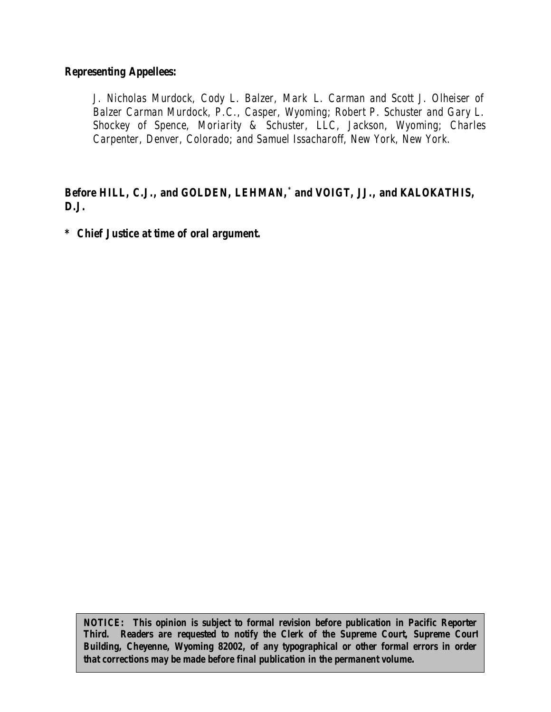#### *Representing Appellees:*

*J. Nicholas Murdock, Cody L. Balzer, Mark L. Carman and Scott J. Olheiser of Balzer Carman Murdock, P.C., Casper, Wyoming; Robert P. Schuster and Gary L. Shockey of Spence, Moriarity & Schuster, LLC, Jackson, Wyoming; Charles Carpenter, Denver, Colorado; and Samuel Issacharoff, New York, New York.*

## *Before HILL, C.J., and GOLDEN, LEHMAN,\* and VOIGT, JJ., and KALOKATHIS, D.J.*

*\* Chief Justice at time of oral argument.*

*NOTICE: This opinion is subject to formal revision before publication in Pacific Reporter Third. Readers are requested to notify the Clerk of the Supreme Court, Supreme Court Building, Cheyenne, Wyoming 82002, of any typographical or other formal errors in order that corrections may be made before final publication in the permanent volume.*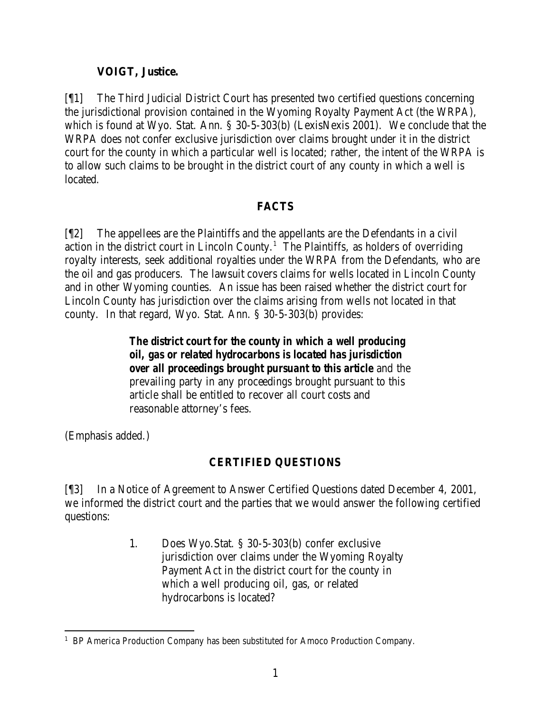## **VOIGT, Justice.**

[¶1] The Third Judicial District Court has presented two certified questions concerning the jurisdictional provision contained in the Wyoming Royalty Payment Act (the WRPA), which is found at Wyo. Stat. Ann. § 30-5-303(b) (LexisNexis 2001). We conclude that the WRPA does not confer exclusive jurisdiction over claims brought under it in the district court for the county in which a particular well is located; rather, the intent of the WRPA is to allow such claims to be brought in the district court of any county in which a well is located.

# **FACTS**

[¶2] The appellees are the Plaintiffs and the appellants are the Defendants in a civil action in the district court in Lincoln County.<sup>1</sup> The Plaintiffs, as holders of overriding royalty interests, seek additional royalties under the WRPA from the Defendants, who are the oil and gas producers. The lawsuit covers claims for wells located in Lincoln County and in other Wyoming counties. An issue has been raised whether the district court for Lincoln County has jurisdiction over the claims arising from wells not located in that county. In that regard, Wyo. Stat. Ann. § 30-5-303(b) provides:

> *The district court for the county in which a well producing oil, gas or related hydrocarbons is located has jurisdiction over all proceedings brought pursuant to this article* and the prevailing party in any proceedings brought pursuant to this article shall be entitled to recover all court costs and reasonable attorney's fees.

(Emphasis added.)

# **CERTIFIED QUESTIONS**

[¶3] In a Notice of Agreement to Answer Certified Questions dated December 4, 2001, we informed the district court and the parties that we would answer the following certified questions:

> 1. Does Wyo.Stat. § 30-5-303(b) confer exclusive jurisdiction over claims under the Wyoming Royalty Payment Act in the district court for the county in which a well producing oil, gas, or related hydrocarbons is located?

 <sup>1</sup> BP America Production Company has been substituted for Amoco Production Company.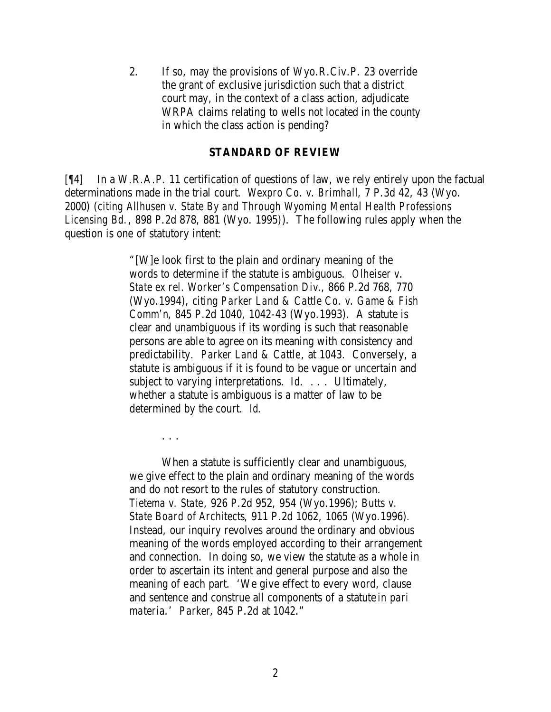2. If so, may the provisions of Wyo.R.Civ.P. 23 override the grant of exclusive jurisdiction such that a district court may, in the context of a class action, adjudicate WRPA claims relating to wells not located in the county in which the class action is pending?

#### **STANDARD OF REVIEW**

[¶4] In a W.R.A.P. 11 certification of questions of law, we rely entirely upon the factual determinations made in the trial court. *Wexpro Co. v. Brimhall*, 7 P.3d 42, 43 (Wyo. 2000) (*citing Allhusen v. State By and Through Wyoming Mental Health Professions Licensing Bd.*, 898 P.2d 878, 881 (Wyo. 1995)). The following rules apply when the question is one of statutory intent:

> "[W]e look first to the plain and ordinary meaning of the words to determine if the statute is ambiguous. *Olheiser v. State ex rel. Worker's Compensation Div.*, 866 P.2d 768, 770 (Wyo.1994), citing *Parker Land & Cattle Co. v. Game & Fish Comm'n*, 845 P.2d 1040, 1042-43 (Wyo.1993). A statute is clear and unambiguous if its wording is such that reasonable persons are able to agree on its meaning with consistency and predictability. *Parker Land & Cattle*, at 1043. Conversely, a statute is ambiguous if it is found to be vague or uncertain and subject to varying interpretations. *Id.* . . . Ultimately, whether a statute is ambiguous is a matter of law to be determined by the court. *Id.*

> > . . .

When a statute is sufficiently clear and unambiguous, we give effect to the plain and ordinary meaning of the words and do not resort to the rules of statutory construction. *Tietema v. State*, 926 P.2d 952, 954 (Wyo.1996); *Butts v. State Board of Architects*, 911 P.2d 1062, 1065 (Wyo.1996). Instead, our inquiry revolves around the ordinary and obvious meaning of the words employed according to their arrangement and connection. In doing so, we view the statute as a whole in order to ascertain its intent and general purpose and also the meaning of each part. 'We give effect to every word, clause and sentence and construe all components of a statute *in pari materia*.' *Parker*, 845 P.2d at 1042."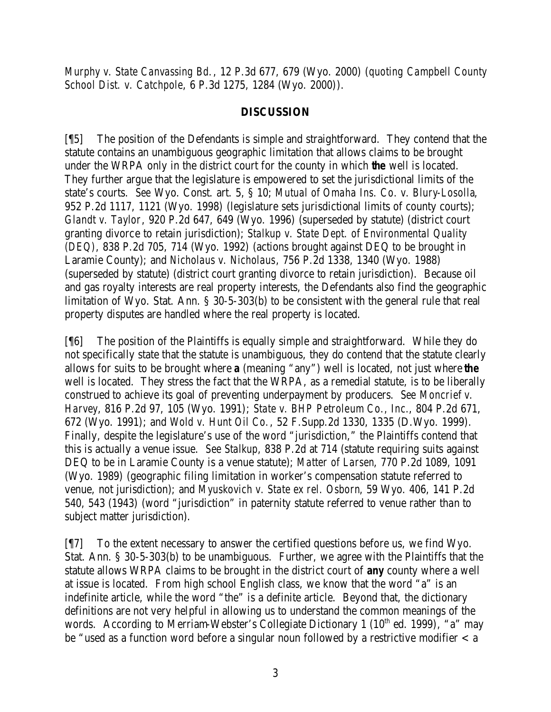*Murphy v. State Canvassing Bd.*, 12 P.3d 677, 679 (Wyo. 2000) (*quoting Campbell County School Dist. v. Catchpole*, 6 P.3d 1275, 1284 (Wyo. 2000)).

## **DISCUSSION**

[¶5] The position of the Defendants is simple and straightforward. They contend that the statute contains an unambiguous geographic limitation that allows claims to be brought under the WRPA only in the district court for the county in which *the* well is located. They further argue that the legislature is empowered to set the jurisdictional limits of the state's courts. *See* Wyo. Const. art. 5, § 10; *Mutual of Omaha Ins. Co. v. Blury-Losolla*, 952 P.2d 1117, 1121 (Wyo. 1998) (legislature sets jurisdictional limits of county courts); *Glandt v. Taylor*, 920 P.2d 647, 649 (Wyo. 1996) (superseded by statute) (district court granting divorce to retain jurisdiction); *Stalkup v. State Dept. of Environmental Quality (DEQ)*, 838 P.2d 705, 714 (Wyo. 1992) (actions brought against DEQ to be brought in Laramie County); and *Nicholaus v. Nicholaus*, 756 P.2d 1338, 1340 (Wyo. 1988) (superseded by statute) (district court granting divorce to retain jurisdiction). Because oil and gas royalty interests are real property interests, the Defendants also find the geographic limitation of Wyo. Stat. Ann. § 30-5-303(b) to be consistent with the general rule that real property disputes are handled where the real property is located.

[¶6] The position of the Plaintiffs is equally simple and straightforward. While they do not specifically state that the statute is unambiguous, they do contend that the statute clearly allows for suits to be brought where *a* (meaning "any") well is located, not just where *the* well is located. They stress the fact that the WRPA, as a remedial statute, is to be liberally construed to achieve its goal of preventing underpayment by producers. *See Moncrief v. Harvey*, 816 P.2d 97, 105 (Wyo. 1991); *State v. BHP Petroleum Co., Inc.*, 804 P.2d 671, 672 (Wyo. 1991); and *Wold v. Hunt Oil Co.*, 52 F.Supp.2d 1330, 1335 (D.Wyo. 1999). Finally, despite the legislature's use of the word "jurisdiction," the Plaintiffs contend that this is actually a venue issue. *See Stalkup*, 838 P.2d at 714 (statute requiring suits against DEQ to be in Laramie County is a venue statute); *Matter of Larsen*, 770 P.2d 1089, 1091 (Wyo. 1989) (geographic filing limitation in worker's compensation statute referred to venue, not jurisdiction); and *Myuskovich v. State ex rel. Osborn*, 59 Wyo. 406, 141 P.2d 540, 543 (1943) (word "jurisdiction" in paternity statute referred to venue rather than to subject matter jurisdiction).

[¶7] To the extent necessary to answer the certified questions before us, we find Wyo. Stat. Ann. § 30-5-303(b) to be unambiguous. Further, we agree with the Plaintiffs that the statute allows WRPA claims to be brought in the district court of *any* county where a well at issue is located. From high school English class, we know that the word "a" is an indefinite article, while the word "the" is a definite article. Beyond that, the dictionary definitions are not very helpful in allowing us to understand the common meanings of the words. According to Merriam-Webster's Collegiate Dictionary 1 ( $10<sup>th</sup>$  ed. 1999), "a" may be "used as a function word before a singular noun followed by a restrictive modifier  $\langle a \rangle$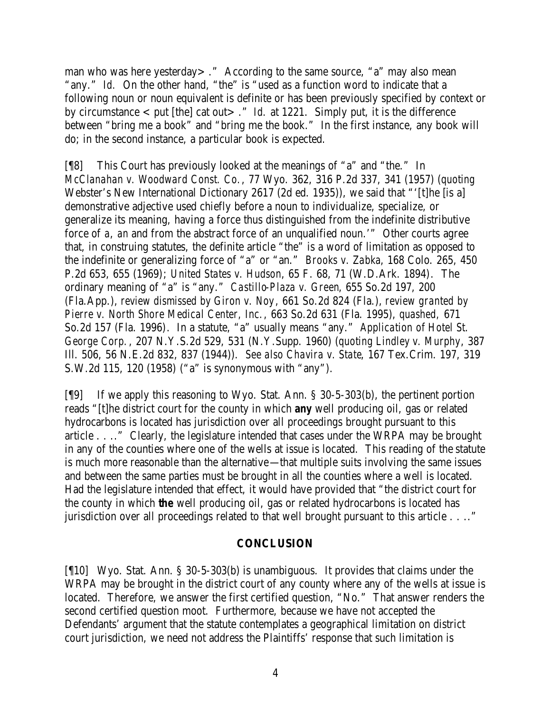man who was here yesterday>." According to the same source, "a" may also mean "any." *Id.* On the other hand, "the" is "used as a function word to indicate that a following noun or noun equivalent is definite or has been previously specified by context or by circumstance  $<$  put [the] cat out $>$ ." *Id.* at 1221. Simply put, it is the difference between "bring me a book" and "bring me the book." In the first instance, any book will do; in the second instance, a particular book is expected.

[¶8] This Court has previously looked at the meanings of "a" and "the." In *McClanahan v. Woodward Const. Co.*, 77 Wyo. 362, 316 P.2d 337, 341 (1957) (*quoting* Webster's New International Dictionary 2617 (2d ed. 1935)), we said that "'[t]he [is a] demonstrative adjective used chiefly before a noun to individualize, specialize, or generalize its meaning, having a force thus distinguished from the indefinite distributive force of *a*, *an* and from the abstract force of an unqualified noun.'" Other courts agree that, in construing statutes, the definite article "the" is a word of limitation as opposed to the indefinite or generalizing force of "a" or "an." *Brooks v. Zabka*, 168 Colo. 265, 450 P.2d 653, 655 (1969); *United States v. Hudson*, 65 F. 68, 71 (W.D.Ark. 1894). The ordinary meaning of "a" is "any." *Castillo-Plaza v. Green*, 655 So.2d 197, 200 (Fla.App.), *review dismissed by Giron v. Noy*, 661 So.2d 824 (Fla.), *review granted by Pierre v. North Shore Medical Center, Inc.*, 663 So.2d 631 (Fla. 1995), *quashed,* 671 So.2d 157 (Fla. 1996). In a statute, "a" usually means "any." *Application of Hotel St. George Corp.*, 207 N.Y.S.2d 529, 531 (N.Y.Supp. 1960) (*quoting Lindley v. Murphy*, 387 Ill. 506, 56 N.E.2d 832, 837 (1944)). *See also Chavira v. State*, 167 Tex.Crim. 197, 319 S.W.2d 115, 120 (1958) ("a" is synonymous with "any").

[¶9] If we apply this reasoning to Wyo. Stat. Ann. § 30-5-303(b), the pertinent portion reads "[t]he district court for the county in which *any* well producing oil, gas or related hydrocarbons is located has jurisdiction over all proceedings brought pursuant to this article . . .." Clearly, the legislature intended that cases under the WRPA may be brought in any of the counties where one of the wells at issue is located. This reading of the statute is much more reasonable than the alternative—that multiple suits involving the same issues and between the same parties must be brought in all the counties where a well is located. Had the legislature intended that effect, it would have provided that "the district court for the county in which *the* well producing oil, gas or related hydrocarbons is located has jurisdiction over all proceedings related to that well brought pursuant to this article . . .."

#### **CONCLUSION**

[¶10] Wyo. Stat. Ann. § 30-5-303(b) is unambiguous. It provides that claims under the WRPA may be brought in the district court of any county where any of the wells at issue is located. Therefore, we answer the first certified question, "No." That answer renders the second certified question moot. Furthermore, because we have not accepted the Defendants' argument that the statute contemplates a geographical limitation on district court jurisdiction, we need not address the Plaintiffs' response that such limitation is